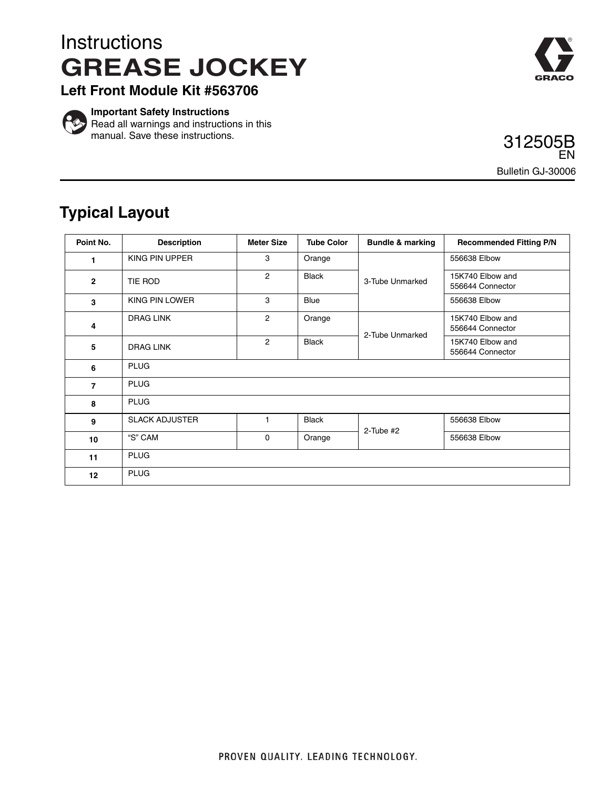## **Instructions GREASE JOCKEY**



**Left Front Module Kit #563706**



**Important Safety Instructions** Read all warnings and instructions in this manual. Save these instructions.

312505B Bulletin GJ-30006 EN

## **Typical Layout**

| Point No.       | <b>Description</b>    | <b>Meter Size</b> | <b>Tube Color</b> | <b>Bundle &amp; marking</b> | <b>Recommended Fitting P/N</b>       |
|-----------------|-----------------------|-------------------|-------------------|-----------------------------|--------------------------------------|
| 1               | KING PIN UPPER        | 3                 | Orange            | 3-Tube Unmarked             | 556638 Elbow                         |
| $\overline{2}$  | TIE ROD               | $\overline{2}$    | <b>Black</b>      |                             | 15K740 Elbow and<br>556644 Connector |
| 3               | KING PIN LOWER        | 3                 | <b>Blue</b>       |                             | 556638 Elbow                         |
| 4               | <b>DRAG LINK</b>      | $\overline{c}$    | Orange            | 2-Tube Unmarked             | 15K740 Elbow and<br>556644 Connector |
| 5               | <b>DRAG LINK</b>      | $\overline{2}$    | <b>Black</b>      |                             | 15K740 Elbow and<br>556644 Connector |
| 6               | <b>PLUG</b>           |                   |                   |                             |                                      |
| $\overline{7}$  | <b>PLUG</b>           |                   |                   |                             |                                      |
| 8               | <b>PLUG</b>           |                   |                   |                             |                                      |
| 9               | <b>SLACK ADJUSTER</b> | 1                 | <b>Black</b>      | $2$ -Tube #2                | 556638 Elbow                         |
| 10              | "S" CAM               | 0                 | Orange            |                             | 556638 Elbow                         |
| 11              | <b>PLUG</b>           |                   |                   |                             |                                      |
| 12 <sup>2</sup> | <b>PLUG</b>           |                   |                   |                             |                                      |